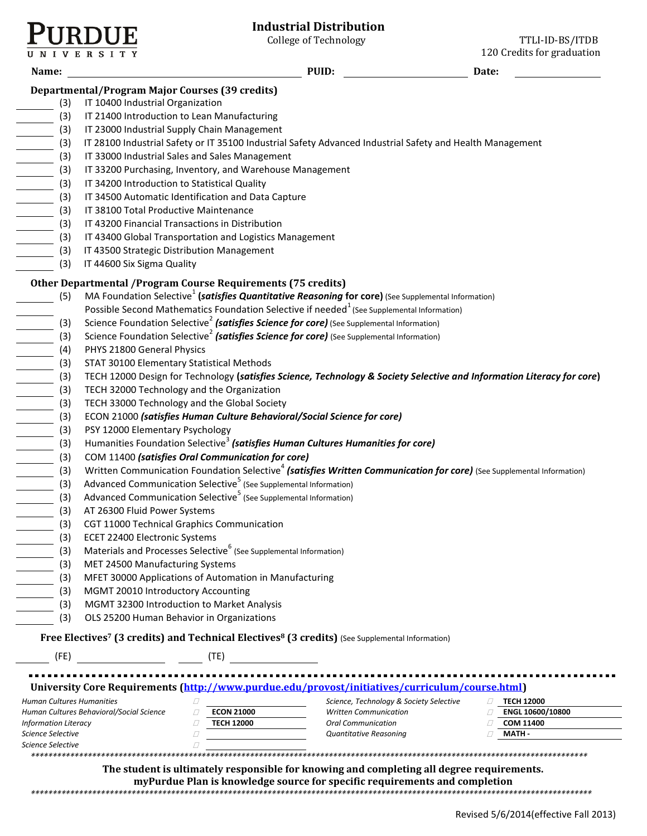

VERSIT

College of Technology TTLI-ID-BS/ITDB 120 Credits for graduation

| Date:                                                                                                                                                                                                                                                                                                                                                                                                                                                                                                                                                                                                                                                                                              |  |  |  |  |  |  |  |
|----------------------------------------------------------------------------------------------------------------------------------------------------------------------------------------------------------------------------------------------------------------------------------------------------------------------------------------------------------------------------------------------------------------------------------------------------------------------------------------------------------------------------------------------------------------------------------------------------------------------------------------------------------------------------------------------------|--|--|--|--|--|--|--|
|                                                                                                                                                                                                                                                                                                                                                                                                                                                                                                                                                                                                                                                                                                    |  |  |  |  |  |  |  |
| <b>Departmental/Program Major Courses (39 credits)</b><br>(3) IT 10400 Industrial Organization                                                                                                                                                                                                                                                                                                                                                                                                                                                                                                                                                                                                     |  |  |  |  |  |  |  |
| IT 21400 Introduction to Lean Manufacturing<br>$\overline{\phantom{a}}$ (3)                                                                                                                                                                                                                                                                                                                                                                                                                                                                                                                                                                                                                        |  |  |  |  |  |  |  |
| IT 23000 Industrial Supply Chain Management                                                                                                                                                                                                                                                                                                                                                                                                                                                                                                                                                                                                                                                        |  |  |  |  |  |  |  |
| IT 28100 Industrial Safety or IT 35100 Industrial Safety Advanced Industrial Safety and Health Management                                                                                                                                                                                                                                                                                                                                                                                                                                                                                                                                                                                          |  |  |  |  |  |  |  |
| IT 33000 Industrial Sales and Sales Management                                                                                                                                                                                                                                                                                                                                                                                                                                                                                                                                                                                                                                                     |  |  |  |  |  |  |  |
|                                                                                                                                                                                                                                                                                                                                                                                                                                                                                                                                                                                                                                                                                                    |  |  |  |  |  |  |  |
|                                                                                                                                                                                                                                                                                                                                                                                                                                                                                                                                                                                                                                                                                                    |  |  |  |  |  |  |  |
|                                                                                                                                                                                                                                                                                                                                                                                                                                                                                                                                                                                                                                                                                                    |  |  |  |  |  |  |  |
|                                                                                                                                                                                                                                                                                                                                                                                                                                                                                                                                                                                                                                                                                                    |  |  |  |  |  |  |  |
| $\begin{array}{c c}\n\hline\n(3) & (3) \\ \hline\n(4) & (3) \\ (5) & (4) \\ (6) & (5) \\ (7) & (8) \\ (8) & (9) \\ (9) & (1) \\ (1) & (2) \\ (2) & (3) \\ (3) & (4) \\ (5) & (5) \\ (6) & (7) \\ (8) & (9) \\ (9) & (1) & (1) \\ (1) & (1) & (2) \\ (2) & (3) & (3) \\ (3) & (4) & (5) \\ (5) & (5) & (6) \\ (6) & (7) & (8) \\ (9) & (1) & (1) \\ (1) & (1) & (1) \\ (2$<br>IT 38100 Total Productive Maintenance<br>IT 43200 Financial Transactions in Distribution                                                                                                                                                                                                                              |  |  |  |  |  |  |  |
| IT 43400 Global Transportation and Logistics Management                                                                                                                                                                                                                                                                                                                                                                                                                                                                                                                                                                                                                                            |  |  |  |  |  |  |  |
|                                                                                                                                                                                                                                                                                                                                                                                                                                                                                                                                                                                                                                                                                                    |  |  |  |  |  |  |  |
|                                                                                                                                                                                                                                                                                                                                                                                                                                                                                                                                                                                                                                                                                                    |  |  |  |  |  |  |  |
|                                                                                                                                                                                                                                                                                                                                                                                                                                                                                                                                                                                                                                                                                                    |  |  |  |  |  |  |  |
| MA Foundation Selective <sup>1</sup> (satisfies Quantitative Reasoning for core) (See Supplemental Information)                                                                                                                                                                                                                                                                                                                                                                                                                                                                                                                                                                                    |  |  |  |  |  |  |  |
| Possible Second Mathematics Foundation Selective if needed <sup>1</sup> (See Supplemental Information)                                                                                                                                                                                                                                                                                                                                                                                                                                                                                                                                                                                             |  |  |  |  |  |  |  |
| Science Foundation Selective <sup>2</sup> (satisfies Science for core) (See Supplemental Information)                                                                                                                                                                                                                                                                                                                                                                                                                                                                                                                                                                                              |  |  |  |  |  |  |  |
| Science Foundation Selective <sup>2</sup> (satisfies Science for core) (See Supplemental Information)                                                                                                                                                                                                                                                                                                                                                                                                                                                                                                                                                                                              |  |  |  |  |  |  |  |
|                                                                                                                                                                                                                                                                                                                                                                                                                                                                                                                                                                                                                                                                                                    |  |  |  |  |  |  |  |
|                                                                                                                                                                                                                                                                                                                                                                                                                                                                                                                                                                                                                                                                                                    |  |  |  |  |  |  |  |
| $\begin{array}{r c} \hline \begin{array}{c} \begin{array}{c} \text{(3)} \\ \text{(4)} \end{array} \\ \hline \begin{array}{c} \text{(5)} \\ \text{(6)} \end{array} \\ \hline \begin{array}{c} \text{(7)} \\ \text{(8)} \end{array} \\ \hline \begin{array}{c} \text{(9)} \\ \text{(10)} \\ \text{(11)} \\ \text{(12)} \\ \text{(13)} \\ \hline \end{array} \\ \hline \begin{array}{c} \text{(11)} \\ \text{(12)} \\ \text{(13)} \\ \hline \end{array} \\ \hline \begin{array}{c} \text{(13)} \\ \text{(14)} \\ \hline \end{$<br>STAT 30100 Elementary Statistical Methods<br>TECH 12000 Design for Technology (satisfies Science, Technology & Society Selective and Information Literacy for core) |  |  |  |  |  |  |  |
|                                                                                                                                                                                                                                                                                                                                                                                                                                                                                                                                                                                                                                                                                                    |  |  |  |  |  |  |  |
|                                                                                                                                                                                                                                                                                                                                                                                                                                                                                                                                                                                                                                                                                                    |  |  |  |  |  |  |  |
| ECON 21000 (satisfies Human Culture Behavioral/Social Science for core)                                                                                                                                                                                                                                                                                                                                                                                                                                                                                                                                                                                                                            |  |  |  |  |  |  |  |
|                                                                                                                                                                                                                                                                                                                                                                                                                                                                                                                                                                                                                                                                                                    |  |  |  |  |  |  |  |
| Humanities Foundation Selective <sup>3</sup> (satisfies Human Cultures Humanities for core)                                                                                                                                                                                                                                                                                                                                                                                                                                                                                                                                                                                                        |  |  |  |  |  |  |  |
|                                                                                                                                                                                                                                                                                                                                                                                                                                                                                                                                                                                                                                                                                                    |  |  |  |  |  |  |  |
| Written Communication Foundation Selective <sup>4</sup> (satisfies Written Communication for core) (See Supplemental Information)                                                                                                                                                                                                                                                                                                                                                                                                                                                                                                                                                                  |  |  |  |  |  |  |  |
|                                                                                                                                                                                                                                                                                                                                                                                                                                                                                                                                                                                                                                                                                                    |  |  |  |  |  |  |  |
|                                                                                                                                                                                                                                                                                                                                                                                                                                                                                                                                                                                                                                                                                                    |  |  |  |  |  |  |  |
|                                                                                                                                                                                                                                                                                                                                                                                                                                                                                                                                                                                                                                                                                                    |  |  |  |  |  |  |  |
|                                                                                                                                                                                                                                                                                                                                                                                                                                                                                                                                                                                                                                                                                                    |  |  |  |  |  |  |  |
|                                                                                                                                                                                                                                                                                                                                                                                                                                                                                                                                                                                                                                                                                                    |  |  |  |  |  |  |  |
|                                                                                                                                                                                                                                                                                                                                                                                                                                                                                                                                                                                                                                                                                                    |  |  |  |  |  |  |  |
|                                                                                                                                                                                                                                                                                                                                                                                                                                                                                                                                                                                                                                                                                                    |  |  |  |  |  |  |  |
|                                                                                                                                                                                                                                                                                                                                                                                                                                                                                                                                                                                                                                                                                                    |  |  |  |  |  |  |  |
|                                                                                                                                                                                                                                                                                                                                                                                                                                                                                                                                                                                                                                                                                                    |  |  |  |  |  |  |  |
|                                                                                                                                                                                                                                                                                                                                                                                                                                                                                                                                                                                                                                                                                                    |  |  |  |  |  |  |  |
| (3)<br>OLS 25200 Human Behavior in Organizations                                                                                                                                                                                                                                                                                                                                                                                                                                                                                                                                                                                                                                                   |  |  |  |  |  |  |  |
| Free Electives <sup>7</sup> (3 credits) and Technical Electives <sup>8</sup> (3 credits) (See Supplemental Information)                                                                                                                                                                                                                                                                                                                                                                                                                                                                                                                                                                            |  |  |  |  |  |  |  |
|                                                                                                                                                                                                                                                                                                                                                                                                                                                                                                                                                                                                                                                                                                    |  |  |  |  |  |  |  |
|                                                                                                                                                                                                                                                                                                                                                                                                                                                                                                                                                                                                                                                                                                    |  |  |  |  |  |  |  |
| University Core Requirements (http://www.purdue.edu/provost/initiatives/curriculum/course.html)                                                                                                                                                                                                                                                                                                                                                                                                                                                                                                                                                                                                    |  |  |  |  |  |  |  |
| Science, Technology & Society Selective<br>$\Box$ TECH 12000                                                                                                                                                                                                                                                                                                                                                                                                                                                                                                                                                                                                                                       |  |  |  |  |  |  |  |
| <b>Written Communication</b><br><b>ENGL 10600/10800</b>                                                                                                                                                                                                                                                                                                                                                                                                                                                                                                                                                                                                                                            |  |  |  |  |  |  |  |
| COM 11400<br><b>Oral Communication</b><br><b>MATH-</b><br>Quantitative Reasoning                                                                                                                                                                                                                                                                                                                                                                                                                                                                                                                                                                                                                   |  |  |  |  |  |  |  |
|                                                                                                                                                                                                                                                                                                                                                                                                                                                                                                                                                                                                                                                                                                    |  |  |  |  |  |  |  |
|                                                                                                                                                                                                                                                                                                                                                                                                                                                                                                                                                                                                                                                                                                    |  |  |  |  |  |  |  |
| The student is ultimately responsible for knowing and completing all degree requirements.                                                                                                                                                                                                                                                                                                                                                                                                                                                                                                                                                                                                          |  |  |  |  |  |  |  |

**myPurdue Plan is knowledge source for specific requirements and completion**

*\*\*\*\*\*\*\*\*\*\*\*\*\*\*\*\*\*\*\*\*\*\*\*\*\*\*\*\*\*\*\*\*\*\*\*\*\*\*\*\*\*\*\*\*\*\*\*\*\*\*\*\*\*\*\*\*\*\*\*\*\*\*\*\*\*\*\*\*\*\*\*\*\*\*\*\*\*\*\*\*\*\*\*\*\*\*\*\*\*\*\*\*\*\*\*\*\*\*\*\*\*\*\*\*\*\*\*\*\*\*\*\*\*\*\*\*\*\*\*\*\*\*\*\*\*\*\*\**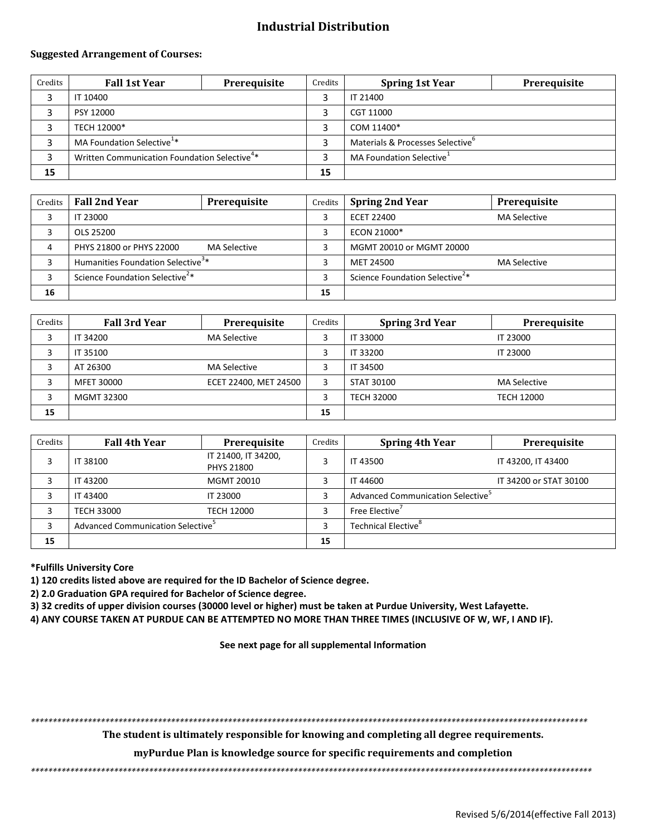# **Industrial Distribution**

#### **Suggested Arrangement of Courses:**

| Credits | <b>Fall 1st Year</b>                                     | Prerequisite | Credits | <b>Spring 1st Year</b>                       | Prerequisite |
|---------|----------------------------------------------------------|--------------|---------|----------------------------------------------|--------------|
|         | IT 10400                                                 |              |         | IT 21400                                     |              |
|         | PSY 12000                                                |              |         | CGT 11000                                    |              |
|         | TECH 12000*                                              |              |         | COM 11400*                                   |              |
|         | MA Foundation Selective <sup>1*</sup>                    |              | э       | Materials & Processes Selective <sup>o</sup> |              |
|         | Written Communication Foundation Selective <sup>4*</sup> |              |         | MA Foundation Selective <sup>1</sup>         |              |
| 15      |                                                          |              | 15      |                                              |              |

| Credits | <b>Fall 2nd Year</b>                          | Prerequisite        | Credits | <b>Spring 2nd Year</b>                     | Prerequisite        |
|---------|-----------------------------------------------|---------------------|---------|--------------------------------------------|---------------------|
|         | IT 23000                                      |                     |         | ECET 22400                                 | <b>MA Selective</b> |
|         | OLS 25200                                     |                     |         | ECON 21000*                                |                     |
| 4       | PHYS 21800 or PHYS 22000                      | <b>MA Selective</b> |         | MGMT 20010 or MGMT 20000                   |                     |
|         | Humanities Foundation Selective <sup>3*</sup> |                     |         | MET 24500                                  | <b>MA Selective</b> |
|         | Science Foundation Selective <sup>2*</sup>    |                     |         | Science Foundation Selective <sup>2*</sup> |                     |
| 16      |                                               |                     | 15      |                                            |                     |

| Credits | <b>Fall 3rd Year</b> | Prerequisite          | Credits | <b>Spring 3rd Year</b> | Prerequisite        |
|---------|----------------------|-----------------------|---------|------------------------|---------------------|
|         | IT 34200             | <b>MA Selective</b>   |         | IT 33000               | <b>IT 23000</b>     |
|         | IT 35100             |                       |         | IT 33200               | IT 23000            |
|         | AT 26300             | <b>MA Selective</b>   |         | IT 34500               |                     |
|         | MFET 30000           | ECET 22400, MET 24500 | 3       | STAT 30100             | <b>MA Selective</b> |
|         | MGMT 32300           |                       |         | <b>TECH 32000</b>      | <b>TECH 12000</b>   |
| 15      |                      |                       | 15      |                        |                     |

| Credits | <b>Fall 4th Year</b>                          | Prerequisite                             | Credits | <b>Spring 4th Year</b>                        | Prerequisite           |
|---------|-----------------------------------------------|------------------------------------------|---------|-----------------------------------------------|------------------------|
|         | IT 38100                                      | IT 21400, IT 34200,<br><b>PHYS 21800</b> | 3       | IT 43500                                      | IT 43200, IT 43400     |
|         | IT 43200                                      | MGMT 20010                               |         | IT 44600                                      | IT 34200 or STAT 30100 |
|         | IT 43400                                      | IT 23000                                 | 3       | Advanced Communication Selective <sup>5</sup> |                        |
|         | <b>TECH 33000</b>                             | TECH 12000                               |         | Free Elective'                                |                        |
|         | Advanced Communication Selective <sup>5</sup> |                                          |         | Technical Elective <sup>8</sup>               |                        |
| 15      |                                               |                                          | 15      |                                               |                        |

#### **\*Fulfills University Core**

**1) 120 credits listed above are required for the ID Bachelor of Science degree.**

**2) 2.0 Graduation GPA required for Bachelor of Science degree.**

**3) 32 credits of upper division courses (30000 level or higher) must be taken at Purdue University, West Lafayette.**

**4) ANY COURSE TAKEN AT PURDUE CAN BE ATTEMPTED NO MORE THAN THREE TIMES (INCLUSIVE OF W, WF, I AND IF).**

**See next page for all supplemental Information**

*\*\*\*\*\*\*\*\*\*\*\*\*\*\*\*\*\*\*\*\*\*\*\*\*\*\*\*\*\*\*\*\*\*\*\*\*\*\*\*\*\*\*\*\*\*\*\*\*\*\*\*\*\*\*\*\*\*\*\*\*\*\*\*\*\*\*\*\*\*\*\*\*\*\*\*\*\*\*\*\*\*\*\*\*\*\*\*\*\*\*\*\*\*\*\*\*\*\*\*\*\*\*\*\*\*\*\*\*\*\*\*\*\*\*\*\*\*\*\*\*\*\*\*\*\*\*\**

**The student is ultimately responsible for knowing and completing all degree requirements.** 

**myPurdue Plan is knowledge source for specific requirements and completion**

*\*\*\*\*\*\*\*\*\*\*\*\*\*\*\*\*\*\*\*\*\*\*\*\*\*\*\*\*\*\*\*\*\*\*\*\*\*\*\*\*\*\*\*\*\*\*\*\*\*\*\*\*\*\*\*\*\*\*\*\*\*\*\*\*\*\*\*\*\*\*\*\*\*\*\*\*\*\*\*\*\*\*\*\*\*\*\*\*\*\*\*\*\*\*\*\*\*\*\*\*\*\*\*\*\*\*\*\*\*\*\*\*\*\*\*\*\*\*\*\*\*\*\*\*\*\*\*\**